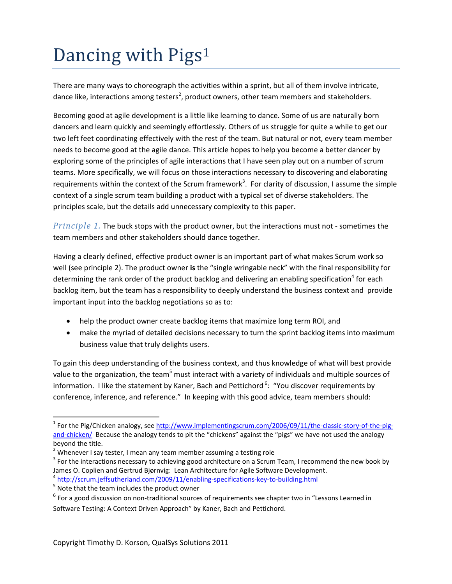## Dancing with Pigs<sup>1</sup>

There are many ways to choreograph the activities within a sprint, but all of them involve intricate, dance like, interactions among testers<sup>2</sup>, product owners, other team members and stakeholders.

Becoming good at agile development is a little like learning to dance. Some of us are naturally born dancers and learn quickly and seemingly effortlessly. Others of us struggle for quite a while to get our two left feet coordinating effectively with the rest of the team. But natural or not, every team member needs to become good at the agile dance. This article hopes to help you become a better dancer by exploring some of the principles of agile interactions that I have seen play out on a number of scrum teams. More specifically, we will focus on those interactions necessary to discovering and elaborating requirements within the context of the Scrum framework<sup>3</sup>. For clarity of discussion, I assume the simple context of a single scrum team building a product with a typical set of diverse stakeholders. The principles scale, but the details add unnecessary complexity to this paper.

*Principle 1.* The buck stops with the product owner, but the interactions must not ‐ sometimes the team members and other stakeholders should dance together.

Having a clearly defined, effective product owner is an important part of what makes Scrum work so well (see principle 2). The product owner **is** the "single wringable neck" with the final responsibility for determining the rank order of the product backlog and delivering an enabling specification<sup>4</sup> for each backlog item, but the team has a responsibility to deeply understand the business context and provide important input into the backlog negotiations so as to:

- help the product owner create backlog items that maximize long term ROI, and
- make the myriad of detailed decisions necessary to turn the sprint backlog items into maximum business value that truly delights users.

To gain this deep understanding of the business context, and thus knowledge of what will best provide value to the organization, the team<sup>5</sup> must interact with a variety of individuals and multiple sources of information. I like the statement by Kaner, Bach and Pettichord <sup>6</sup>: "You discover requirements by conference, inference, and reference." In keeping with this good advice, team members should:

<sup>&</sup>lt;sup>1</sup> For the Pig/Chicken analogy, see http://www.implementingscrum.com/2006/09/11/the-classic-story-of-the-pigand-chicken/ Because the analogy tends to pit the "chickens" against the "pigs" we have not used the analogy

<sup>&</sup>lt;sup>2</sup> Whenever I say tester, I mean any team member assuming a testing role<br><sup>3</sup> For the interactions necessary to achieving good architecture on a Scrum Team, I recommend the new book by James O. Coplien and Gertrud Bjørnvig  $\frac{4}{5}$  http://scrum.jeffsutherland.com/2009/11/enabling-specifications-key-to-building.html<br> $\frac{1}{5}$  Note that the team includes the product owner

 $6$  For a good discussion on non-traditional sources of requirements see chapter two in "Lessons Learned in Software Testing: A Context Driven Approach" by Kaner, Bach and Pettichord.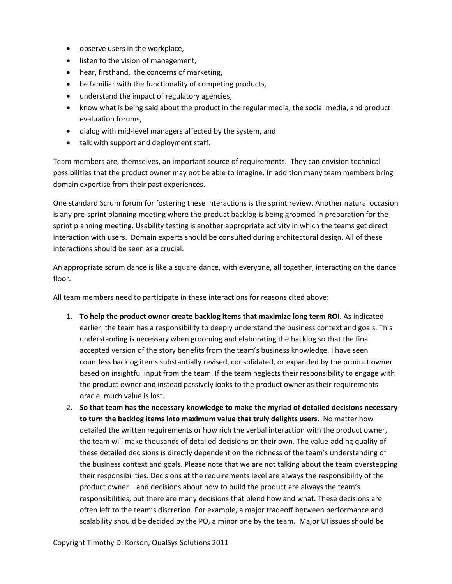- observe users in the workplace,
- listen to the vision of management,
- hear, firsthand, the concerns of marketing,
- be familiar with the functionality of competing products,
- understand the impact of regulatory agencies,
- know what is being said about the product in the regular media, the social media, and product evaluation forums,
- dialog with mid-level managers affected by the system, and
- talk with support and deployment staff.

Team members are, themselves, an important source of requirements. They can envision technical possibilities that the product owner may not be able to imagine. In addition many team members bring domain expertise from their past experiences.

One standard Scrum forum for fostering these interactions is the sprint review. Another natural occasion is any pre‐sprint planning meeting where the product backlog is being groomed in preparation for the sprint planning meeting. Usability testing is another appropriate activity in which the teams get direct interaction with users. Domain experts should be consulted during architectural design. All of these interactions should be seen as a crucial.

An appropriate scrum dance is like a square dance, with everyone, all together, interacting on the dance floor.

All team members need to participate in these interactions for reasons cited above:

- 1. **To help the product owner create backlog items that maximize long term ROI**. As indicated earlier, the team has a responsibility to deeply understand the business context and goals. This understanding is necessary when grooming and elaborating the backlog so that the final accepted version of the story benefits from the team's business knowledge. I have seen countless backlog items substantially revised, consolidated, or expanded by the product owner based on insightful input from the team. If the team neglects their responsibility to engage with the product owner and instead passively looks to the product owner as their requirements oracle, much value is lost.
- 2. **So that team has the necessary knowledge to make the myriad of detailed decisions necessary to turn the backlog items into maximum value that truly delights users**. No matter how detailed the written requirements or how rich the verbal interaction with the product owner, the team will make thousands of detailed decisions on their own. The value-adding quality of these detailed decisions is directly dependent on the richness of the team's understanding of the business context and goals. Please note that we are not talking about the team overstepping their responsibilities. Decisions at the requirements level are always the responsibility of the product owner – and decisions about how to build the product are always the team's responsibilities, but there are many decisions that blend how and what. These decisions are often left to the team's discretion. For example, a major tradeoff between performance and scalability should be decided by the PO, a minor one by the team. Major UI issues should be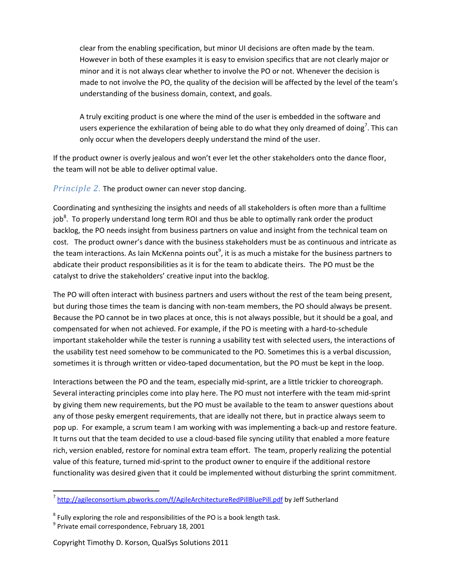clear from the enabling specification, but minor UI decisions are often made by the team. However in both of these examples it is easy to envision specifics that are not clearly major or minor and it is not always clear whether to involve the PO or not. Whenever the decision is made to not involve the PO, the quality of the decision will be affected by the level of the team's understanding of the business domain, context, and goals.

A truly exciting product is one where the mind of the user is embedded in the software and users experience the exhilaration of being able to do what they only dreamed of doing<sup>7</sup>. This can only occur when the developers deeply understand the mind of the user.

If the product owner is overly jealous and won't ever let the other stakeholders onto the dance floor, the team will not be able to deliver optimal value.

*Principle 2.* The product owner can never stop dancing.

Coordinating and synthesizing the insights and needs of all stakeholders is often more than a fulltime job<sup>8</sup>. To properly understand long term ROI and thus be able to optimally rank order the product backlog, the PO needs insight from business partners on value and insight from the technical team on cost. The product owner's dance with the business stakeholders must be as continuous and intricate as the team interactions. As Iain McKenna points out<sup>9</sup>, it is as much a mistake for the business partners to abdicate their product responsibilities as it is for the team to abdicate theirs. The PO must be the catalyst to drive the stakeholders' creative input into the backlog.

The PO will often interact with business partners and users without the rest of the team being present, but during those times the team is dancing with non-team members, the PO should always be present. Because the PO cannot be in two places at once, this is not always possible, but it should be a goal, and compensated for when not achieved. For example, if the PO is meeting with a hard‐to‐schedule important stakeholder while the tester is running a usability test with selected users, the interactions of the usability test need somehow to be communicated to the PO. Sometimes this is a verbal discussion, sometimes it is through written or video-taped documentation, but the PO must be kept in the loop.

Interactions between the PO and the team, especially mid‐sprint, are a little trickier to choreograph. Several interacting principles come into play here. The PO must not interfere with the team mid‐sprint by giving them new requirements, but the PO must be available to the team to answer questions about any of those pesky emergent requirements, that are ideally not there, but in practice always seem to pop up. For example, a scrum team I am working with was implementing a back‐up and restore feature. It turns out that the team decided to use a cloud‐based file syncing utility that enabled a more feature rich, version enabled, restore for nominal extra team effort. The team, properly realizing the potential value of this feature, turned mid‐sprint to the product owner to enquire if the additional restore functionality was desired given that it could be implemented without disturbing the sprint commitment.

<sup>&</sup>lt;sup>7</sup> http://agileconsortium.pbworks.com/f/AgileArchitectureRedPillBluePill.pdf by Jeff Sutherland

 $^8$  Fully exploring the role and responsibilities of the PO is a book length task.<br><sup>9</sup> Private email correspondence, February 18, 2001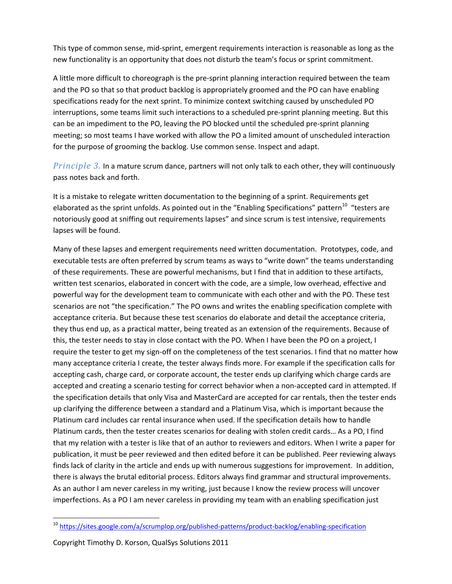This type of common sense, mid‐sprint, emergent requirements interaction is reasonable as long as the new functionality is an opportunity that does not disturb the team's focus or sprint commitment.

A little more difficult to choreograph is the pre‐sprint planning interaction required between the team and the PO so that so that product backlog is appropriately groomed and the PO can have enabling specifications ready for the next sprint. To minimize context switching caused by unscheduled PO interruptions, some teams limit such interactions to a scheduled pre‐sprint planning meeting. But this can be an impediment to the PO, leaving the PO blocked until the scheduled pre‐sprint planning meeting; so most teams I have worked with allow the PO a limited amount of unscheduled interaction for the purpose of grooming the backlog. Use common sense. Inspect and adapt.

*Principle 3.* In a mature scrum dance, partners will not only talk to each other, they will continuously pass notes back and forth.

It is a mistake to relegate written documentation to the beginning of a sprint. Requirements get elaborated as the sprint unfolds. As pointed out in the "Enabling Specifications" pattern<sup>10</sup> "testers are notoriously good at sniffing out requirements lapses" and since scrum is test intensive, requirements lapses will be found.

Many of these lapses and emergent requirements need written documentation. Prototypes, code, and executable tests are often preferred by scrum teams as ways to "write down" the teams understanding of these requirements. These are powerful mechanisms, but I find that in addition to these artifacts, written test scenarios, elaborated in concert with the code, are a simple, low overhead, effective and powerful way for the development team to communicate with each other and with the PO. These test scenarios are not "the specification." The PO owns and writes the enabling specification complete with acceptance criteria. But because these test scenarios do elaborate and detail the acceptance criteria, they thus end up, as a practical matter, being treated as an extension of the requirements. Because of this, the tester needs to stay in close contact with the PO. When I have been the PO on a project, I require the tester to get my sign-off on the completeness of the test scenarios. I find that no matter how many acceptance criteria I create, the tester always finds more. For example if the specification calls for accepting cash, charge card, or corporate account, the tester ends up clarifying which charge cards are accepted and creating a scenario testing for correct behavior when a non-accepted card in attempted. If the specification details that only Visa and MasterCard are accepted for car rentals, then the tester ends up clarifying the difference between a standard and a Platinum Visa, which is important because the Platinum card includes car rental insurance when used. If the specification details how to handle Platinum cards, then the tester creates scenarios for dealing with stolen credit cards… As a PO, I find that my relation with a tester is like that of an author to reviewers and editors. When I write a paper for publication, it must be peer reviewed and then edited before it can be published. Peer reviewing always finds lack of clarity in the article and ends up with numerous suggestions for improvement. In addition, there is always the brutal editorial process. Editors always find grammar and structural improvements. As an author I am never careless in my writing, just because I know the review process will uncover imperfections. As a PO I am never careless in providing my team with an enabling specification just

<sup>&</sup>lt;sup>10</sup> https://sites.google.com/a/scrumplop.org/published-patterns/product-backlog/enabling-specification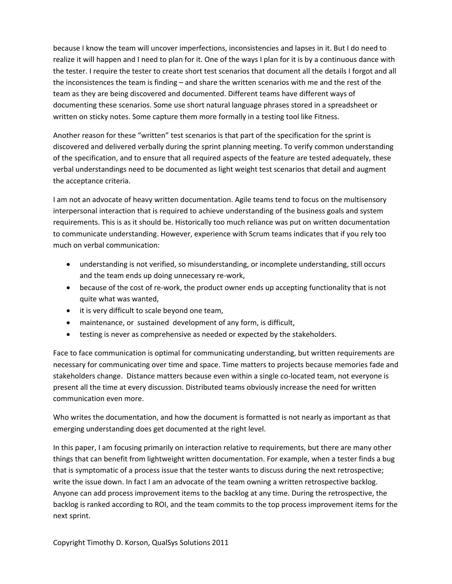because I know the team will uncover imperfections, inconsistencies and lapses in it. But I do need to realize it will happen and I need to plan for it. One of the ways I plan for it is by a continuous dance with the tester. I require the tester to create short test scenarios that document all the details I forgot and all the inconsistences the team is finding – and share the written scenarios with me and the rest of the team as they are being discovered and documented. Different teams have different ways of documenting these scenarios. Some use short natural language phrases stored in a spreadsheet or written on sticky notes. Some capture them more formally in a testing tool like Fitness.

Another reason for these "written" test scenarios is that part of the specification for the sprint is discovered and delivered verbally during the sprint planning meeting. To verify common understanding of the specification, and to ensure that all required aspects of the feature are tested adequately, these verbal understandings need to be documented as light weight test scenarios that detail and augment the acceptance criteria.

I am not an advocate of heavy written documentation. Agile teams tend to focus on the multisensory interpersonal interaction that is required to achieve understanding of the business goals and system requirements. This is as it should be. Historically too much reliance was put on written documentation to communicate understanding. However, experience with Scrum teams indicates that if you rely too much on verbal communication:

- understanding is not verified, so misunderstanding, or incomplete understanding, still occurs and the team ends up doing unnecessary re‐work,
- because of the cost of re-work, the product owner ends up accepting functionality that is not quite what was wanted,
- it is very difficult to scale beyond one team,
- maintenance, or sustained development of any form, is difficult,
- testing is never as comprehensive as needed or expected by the stakeholders.

Face to face communication is optimal for communicating understanding, but written requirements are necessary for communicating over time and space. Time matters to projects because memories fade and stakeholders change. Distance matters because even within a single co-located team, not everyone is present all the time at every discussion. Distributed teams obviously increase the need for written communication even more.

Who writes the documentation, and how the document is formatted is not nearly as important as that emerging understanding does get documented at the right level.

In this paper, I am focusing primarily on interaction relative to requirements, but there are many other things that can benefit from lightweight written documentation. For example, when a tester finds a bug that is symptomatic of a process issue that the tester wants to discuss during the next retrospective; write the issue down. In fact I am an advocate of the team owning a written retrospective backlog. Anyone can add process improvement items to the backlog at any time. During the retrospective, the backlog is ranked according to ROI, and the team commits to the top process improvement items for the next sprint.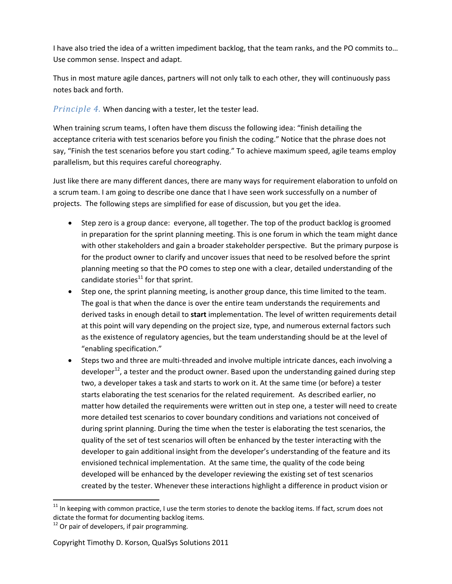I have also tried the idea of a written impediment backlog, that the team ranks, and the PO commits to… Use common sense. Inspect and adapt.

Thus in most mature agile dances, partners will not only talk to each other, they will continuously pass notes back and forth.

*Principle 4.* When dancing with a tester, let the tester lead.

When training scrum teams, I often have them discuss the following idea: "finish detailing the acceptance criteria with test scenarios before you finish the coding." Notice that the phrase does not say, "Finish the test scenarios before you start coding." To achieve maximum speed, agile teams employ parallelism, but this requires careful choreography.

Just like there are many different dances, there are many ways for requirement elaboration to unfold on a scrum team. I am going to describe one dance that I have seen work successfully on a number of projects. The following steps are simplified for ease of discussion, but you get the idea.

- Step zero is a group dance: everyone, all together. The top of the product backlog is groomed in preparation for the sprint planning meeting. This is one forum in which the team might dance with other stakeholders and gain a broader stakeholder perspective. But the primary purpose is for the product owner to clarify and uncover issues that need to be resolved before the sprint planning meeting so that the PO comes to step one with a clear, detailed understanding of the candidate stories $^{11}$  for that sprint.
- Step one, the sprint planning meeting, is another group dance, this time limited to the team. The goal is that when the dance is over the entire team understands the requirements and derived tasks in enough detail to **start** implementation. The level of written requirements detail at this point will vary depending on the project size, type, and numerous external factors such as the existence of regulatory agencies, but the team understanding should be at the level of "enabling specification."
- Steps two and three are multi‐threaded and involve multiple intricate dances, each involving a developer<sup>12</sup>, a tester and the product owner. Based upon the understanding gained during step two, a developer takes a task and starts to work on it. At the same time (or before) a tester starts elaborating the test scenarios for the related requirement. As described earlier, no matter how detailed the requirements were written out in step one, a tester will need to create more detailed test scenarios to cover boundary conditions and variations not conceived of during sprint planning. During the time when the tester is elaborating the test scenarios, the quality of the set of test scenarios will often be enhanced by the tester interacting with the developer to gain additional insight from the developer's understanding of the feature and its envisioned technical implementation. At the same time, the quality of the code being developed will be enhanced by the developer reviewing the existing set of test scenarios created by the tester. Whenever these interactions highlight a difference in product vision or

 $^{11}$  In keeping with common practice, I use the term stories to denote the backlog items. If fact, scrum does not dictate the format for documenting backlog items.<br><sup>12</sup> Or pair of developers, if pair programming.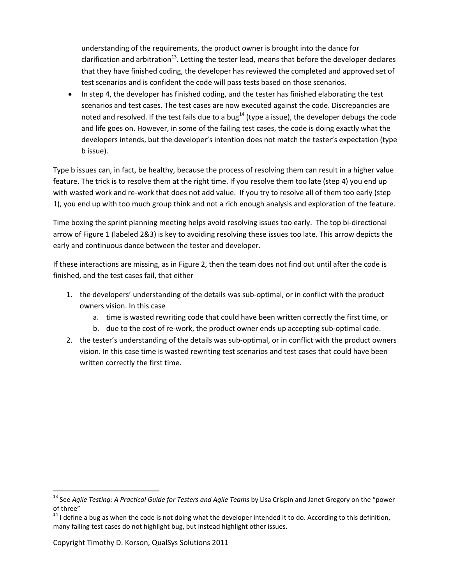understanding of the requirements, the product owner is brought into the dance for clarification and arbitration<sup>13</sup>. Letting the tester lead, means that before the developer declares that they have finished coding, the developer has reviewed the completed and approved set of test scenarios and is confident the code will pass tests based on those scenarios.

 In step 4, the developer has finished coding, and the tester has finished elaborating the test scenarios and test cases. The test cases are now executed against the code. Discrepancies are noted and resolved. If the test fails due to a bug<sup>14</sup> (type a issue), the developer debugs the code and life goes on. However, in some of the failing test cases, the code is doing exactly what the developers intends, but the developer's intention does not match the tester's expectation (type b issue).

Type b issues can, in fact, be healthy, because the process of resolving them can result in a higher value feature. The trick is to resolve them at the right time. If you resolve them too late (step 4) you end up with wasted work and re-work that does not add value. If you try to resolve all of them too early (step 1), you end up with too much group think and not a rich enough analysis and exploration of the feature.

Time boxing the sprint planning meeting helps avoid resolving issues too early. The top bi‐directional arrow of Figure 1 (labeled 2&3) is key to avoiding resolving these issues too late. This arrow depicts the early and continuous dance between the tester and developer.

If these interactions are missing, as in Figure 2, then the team does not find out until after the code is finished, and the test cases fail, that either

- 1. the developers' understanding of the details was sub‐optimal, or in conflict with the product owners vision. In this case
	- a. time is wasted rewriting code that could have been written correctly the first time, or
	- b. due to the cost of re‐work, the product owner ends up accepting sub‐optimal code.
- 2. the tester's understanding of the details was sub‐optimal, or in conflict with the product owners vision. In this case time is wasted rewriting test scenarios and test cases that could have been written correctly the first time.

<sup>13</sup> See *Agile Testing: A Practical Guide for Testers and Agile Teams* by Lisa Crispin and Janet Gregory on the "power of three"<br><sup>14</sup> I define a bug as when the code is not doing what the developer intended it to do. According to this definition,

many failing test cases do not highlight bug, but instead highlight other issues.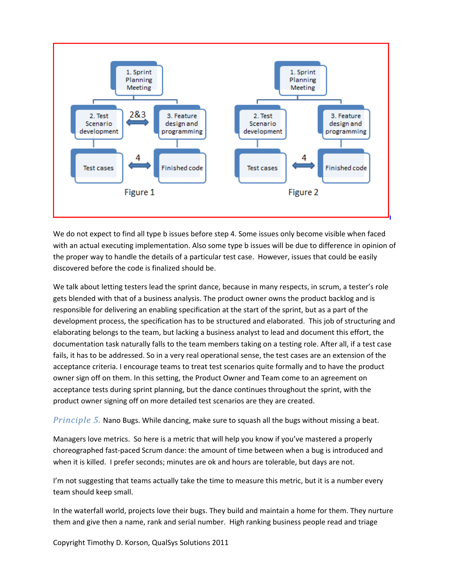

We do not expect to find all type b issues before step 4. Some issues only become visible when faced with an actual executing implementation. Also some type b issues will be due to difference in opinion of the proper way to handle the details of a particular test case. However, issues that could be easily discovered before the code is finalized should be.

We talk about letting testers lead the sprint dance, because in many respects, in scrum, a tester's role gets blended with that of a business analysis. The product owner owns the product backlog and is responsible for delivering an enabling specification at the start of the sprint, but as a part of the development process, the specification has to be structured and elaborated. This job of structuring and elaborating belongs to the team, but lacking a business analyst to lead and document this effort, the documentation task naturally falls to the team members taking on a testing role. After all, if a test case fails, it has to be addressed. So in a very real operational sense, the test cases are an extension of the acceptance criteria. I encourage teams to treat test scenarios quite formally and to have the product owner sign off on them. In this setting, the Product Owner and Team come to an agreement on acceptance tests during sprint planning, but the dance continues throughout the sprint, with the product owner signing off on more detailed test scenarios are they are created.

*Principle 5.* Nano Bugs. While dancing, make sure to squash all the bugs without missing a beat.

Managers love metrics. So here is a metric that will help you know if you've mastered a properly choreographed fast‐paced Scrum dance: the amount of time between when a bug is introduced and when it is killed. I prefer seconds; minutes are ok and hours are tolerable, but days are not.

I'm not suggesting that teams actually take the time to measure this metric, but it is a number every team should keep small.

In the waterfall world, projects love their bugs. They build and maintain a home for them. They nurture them and give then a name, rank and serial number. High ranking business people read and triage

Copyright Timothy D. Korson, QualSys Solutions 2011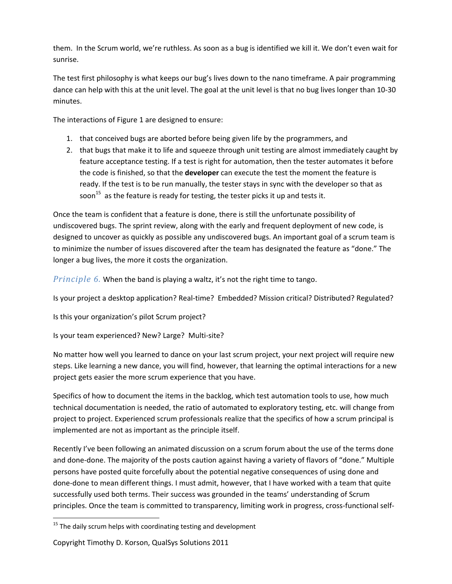them. In the Scrum world, we're ruthless. As soon as a bug is identified we kill it. We don't even wait for sunrise.

The test first philosophy is what keeps our bug's lives down to the nano timeframe. A pair programming dance can help with this at the unit level. The goal at the unit level is that no bug lives longer than 10‐30 minutes.

The interactions of Figure 1 are designed to ensure:

- 1. that conceived bugs are aborted before being given life by the programmers, and
- 2. that bugs that make it to life and squeeze through unit testing are almost immediately caught by feature acceptance testing. If a test is right for automation, then the tester automates it before the code is finished, so that the **developer** can execute the test the moment the feature is ready. If the test is to be run manually, the tester stays in sync with the developer so that as soon<sup>15</sup> as the feature is ready for testing, the tester picks it up and tests it.

Once the team is confident that a feature is done, there is still the unfortunate possibility of undiscovered bugs. The sprint review, along with the early and frequent deployment of new code, is designed to uncover as quickly as possible any undiscovered bugs. An important goal of a scrum team is to minimize the number of issues discovered after the team has designated the feature as "done." The longer a bug lives, the more it costs the organization.

*Principle 6.* When the band is playing a waltz, it's not the right time to tango.

Is your project a desktop application? Real‐time? Embedded? Mission critical? Distributed? Regulated?

Is this your organization's pilot Scrum project?

Is your team experienced? New? Large? Multi‐site?

No matter how well you learned to dance on your last scrum project, your next project will require new steps. Like learning a new dance, you will find, however, that learning the optimal interactions for a new project gets easier the more scrum experience that you have.

Specifics of how to document the items in the backlog, which test automation tools to use, how much technical documentation is needed, the ratio of automated to exploratory testing, etc. will change from project to project. Experienced scrum professionals realize that the specifics of how a scrum principal is implemented are not as important as the principle itself.

Recently I've been following an animated discussion on a scrum forum about the use of the terms done and done‐done. The majority of the posts caution against having a variety of flavors of "done." Multiple persons have posted quite forcefully about the potential negative consequences of using done and done-done to mean different things. I must admit, however, that I have worked with a team that quite successfully used both terms. Their success was grounded in the teams' understanding of Scrum principles. Once the team is committed to transparency, limiting work in progress, cross-functional self-

  $15$  The daily scrum helps with coordinating testing and development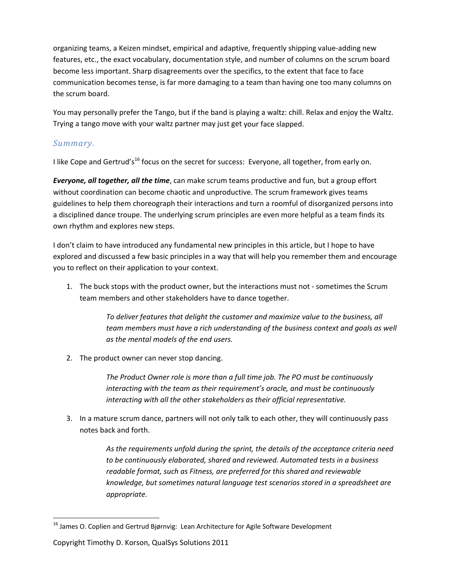organizing teams, a Keizen mindset, empirical and adaptive, frequently shipping value‐adding new features, etc., the exact vocabulary, documentation style, and number of columns on the scrum board become less important. Sharp disagreements over the specifics, to the extent that face to face communication becomes tense, is far more damaging to a team than having one too many columns on the scrum board.

You may personally prefer the Tango, but if the band is playing a waltz: chill. Relax and enjoy the Waltz. Trying a tango move with your waltz partner may just get your face slapped.

## *Summary.*

I like Cope and Gertrud's<sup>16</sup> focus on the secret for success: Everyone, all together, from early on.

*Everyone, all together, all the time*, can make scrum teams productive and fun, but a group effort without coordination can become chaotic and unproductive. The scrum framework gives teams guidelines to help them choreograph their interactions and turn a roomful of disorganized persons into a disciplined dance troupe. The underlying scrum principles are even more helpful as a team finds its own rhythm and explores new steps.

I don't claim to have introduced any fundamental new principles in this article, but I hope to have explored and discussed a few basic principles in a way that will help you remember them and encourage you to reflect on their application to your context.

1. The buck stops with the product owner, but the interactions must not ‐ sometimes the Scrum team members and other stakeholders have to dance together.

> *To deliver features that delight the customer and maximize value to the business, all team members must have a rich understanding of the business context and goals as well as the mental models of the end users.*

2. The product owner can never stop dancing.

*The Product Owner role is more than a full time job. The PO must be continuously interacting with the team as their requirement's oracle, and must be continuously interacting with all the other stakeholders as their official representative.*

3. In a mature scrum dance, partners will not only talk to each other, they will continuously pass notes back and forth.

> *As the requirements unfold during the sprint, the details of the acceptance criteria need to be continuously elaborated, shared and reviewed. Automated tests in a business readable format, such as Fitness, are preferred for this shared and reviewable knowledge, but sometimes natural language test scenarios stored in a spreadsheet are appropriate.*

  $16$  James O. Coplien and Gertrud Bjørnvig: Lean Architecture for Agile Software Development